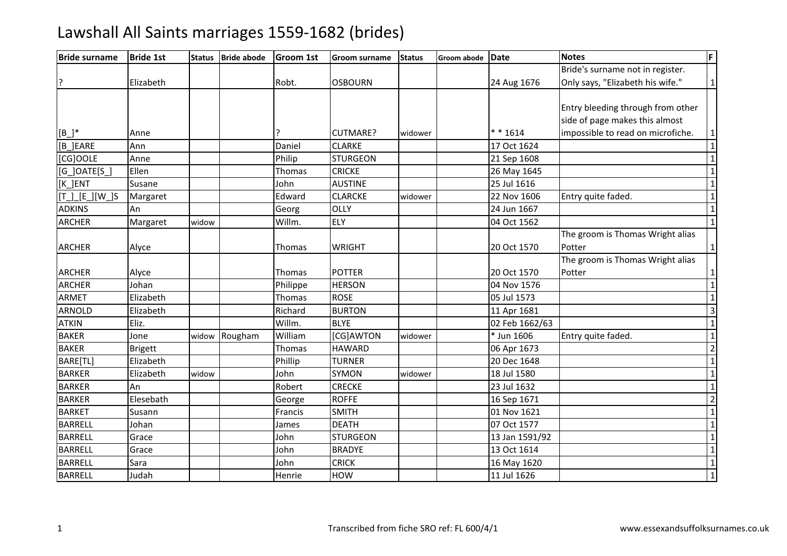| <b>Bride surname</b>                          | <b>Bride 1st</b> | <b>Status</b> | <b>Bride abode</b> | Groom 1st | <b>Groom surname</b> | <b>Status</b> | <b>Groom abode</b> | Date           | <b>Notes</b>                      | F                       |
|-----------------------------------------------|------------------|---------------|--------------------|-----------|----------------------|---------------|--------------------|----------------|-----------------------------------|-------------------------|
|                                               |                  |               |                    |           |                      |               |                    |                | Bride's surname not in register.  |                         |
|                                               | Elizabeth        |               |                    | Robt.     | <b>OSBOURN</b>       |               |                    | 24 Aug 1676    | Only says, "Elizabeth his wife."  | $\mathbf{1}$            |
|                                               |                  |               |                    |           |                      |               |                    |                |                                   |                         |
|                                               |                  |               |                    |           |                      |               |                    |                | Entry bleeding through from other |                         |
|                                               |                  |               |                    |           |                      |               |                    |                | side of page makes this almost    |                         |
| $[B_+]^*$                                     | Anne             |               |                    |           | <b>CUTMARE?</b>      | widower       |                    | ** 1614        | impossible to read on microfiche. | $\mathbf{1}$            |
| [B_]EARE                                      | Ann              |               |                    | Daniel    | <b>CLARKE</b>        |               |                    | 17 Oct 1624    |                                   | $\mathbf{1}$            |
| [CG]OOLE                                      | Anne             |               |                    | Philip    | <b>STURGEON</b>      |               |                    | 21 Sep 1608    |                                   | $\overline{1}$          |
| $[G_$ <i>OATE<math>[S_</math><sup>1</sup></i> | Ellen            |               |                    | Thomas    | <b>CRICKE</b>        |               |                    | 26 May 1645    |                                   | $\mathbf{1}$            |
| [K_]ENT                                       | Susane           |               |                    | John      | <b>AUSTINE</b>       |               |                    | 25 Jul 1616    |                                   | $\overline{1}$          |
| $[T_\_][E_\_][W_\_]S$                         | Margaret         |               |                    | Edward    | <b>CLARCKE</b>       | widower       |                    | 22 Nov 1606    | Entry quite faded.                | $\overline{1}$          |
| <b>ADKINS</b>                                 | An               |               |                    | Georg     | OLLY                 |               |                    | 24 Jun 1667    |                                   | $\mathbf 1$             |
| <b>ARCHER</b>                                 | Margaret         | widow         |                    | Willm.    | <b>ELY</b>           |               |                    | 04 Oct 1562    |                                   | $\overline{1}$          |
|                                               |                  |               |                    |           |                      |               |                    |                | The groom is Thomas Wright alias  |                         |
| <b>ARCHER</b>                                 | Alyce            |               |                    | Thomas    | <b>WRIGHT</b>        |               |                    | 20 Oct 1570    | Potter                            | $\mathbf{1}$            |
|                                               |                  |               |                    |           |                      |               |                    |                | The groom is Thomas Wright alias  |                         |
| <b>ARCHER</b>                                 | Alyce            |               |                    | Thomas    | <b>POTTER</b>        |               |                    | 20 Oct 1570    | Potter                            | 1                       |
| <b>ARCHER</b>                                 | Johan            |               |                    | Philippe  | <b>HERSON</b>        |               |                    | 04 Nov 1576    |                                   | $\mathbf 1$             |
| <b>ARMET</b>                                  | Elizabeth        |               |                    | Thomas    | <b>ROSE</b>          |               |                    | 05 Jul 1573    |                                   | $\overline{1}$          |
| <b>ARNOLD</b>                                 | Elizabeth        |               |                    | Richard   | <b>BURTON</b>        |               |                    | 11 Apr 1681    |                                   | ω                       |
| <b>ATKIN</b>                                  | Eliz.            |               |                    | Willm.    | <b>BLYE</b>          |               |                    | 02 Feb 1662/63 |                                   | $\overline{\mathbf{1}}$ |
| <b>BAKER</b>                                  | Jone             | widow         | Rougham            | William   | [CG]AWTON            | widower       |                    | * Jun 1606     | Entry quite faded.                | $\overline{1}$          |
| <b>BAKER</b>                                  | <b>Brigett</b>   |               |                    | Thomas    | <b>HAWARD</b>        |               |                    | 06 Apr 1673    |                                   | $\overline{2}$          |
| BARE[TL]                                      | Elizabeth        |               |                    | Phillip   | <b>TURNER</b>        |               |                    | 20 Dec 1648    |                                   | $\mathbf 1$             |
| <b>BARKER</b>                                 | Elizabeth        | widow         |                    | John      | <b>SYMON</b>         | widower       |                    | 18 Jul 1580    |                                   | $\overline{1}$          |
| <b>BARKER</b>                                 | An               |               |                    | Robert    | <b>CRECKE</b>        |               |                    | 23 Jul 1632    |                                   | $\mathbf{1}$            |
| <b>BARKER</b>                                 | Elesebath        |               |                    | George    | <b>ROFFE</b>         |               |                    | 16 Sep 1671    |                                   | $\overline{2}$          |
| <b>BARKET</b>                                 | Susann           |               |                    | Francis   | <b>SMITH</b>         |               |                    | 01 Nov 1621    |                                   | $\overline{1}$          |
| <b>BARRELL</b>                                | Johan            |               |                    | James     | <b>DEATH</b>         |               |                    | 07 Oct 1577    |                                   | $\mathbf{1}$            |
| <b>BARRELL</b>                                | Grace            |               |                    | John      | <b>STURGEON</b>      |               |                    | 13 Jan 1591/92 |                                   | $\overline{1}$          |
| <b>BARRELL</b>                                | Grace            |               |                    | John      | <b>BRADYE</b>        |               |                    | 13 Oct 1614    |                                   | $\overline{1}$          |
| <b>BARRELL</b>                                | Sara             |               |                    | John      | <b>CRICK</b>         |               |                    | 16 May 1620    |                                   | $\mathbf{1}$            |
| <b>BARRELL</b>                                | Judah            |               |                    | Henrie    | HOW                  |               |                    | 11 Jul 1626    |                                   | $\overline{1}$          |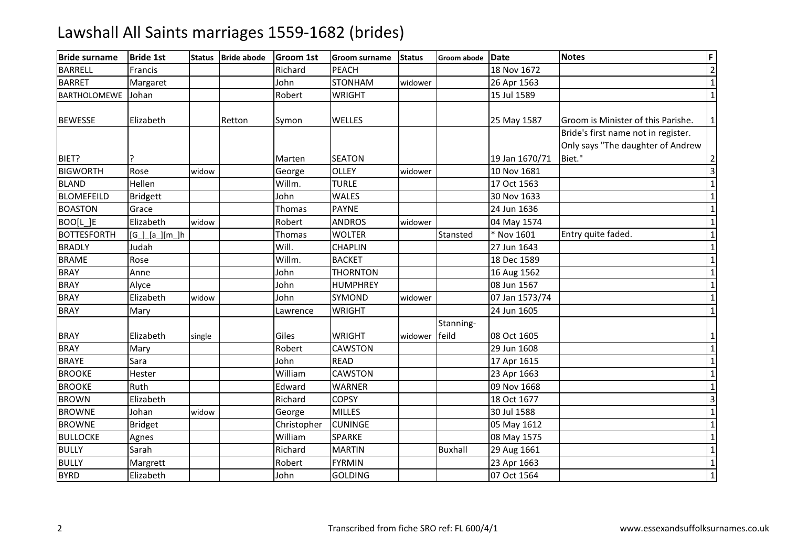| <b>Bride surname</b> | <b>Bride 1st</b>   | <b>Status</b> | <b>Bride abode</b> | <b>Groom 1st</b> | <b>Groom surname</b> | <b>Status</b> | Groom abode Date |                | <b>Notes</b>                        | F              |
|----------------------|--------------------|---------------|--------------------|------------------|----------------------|---------------|------------------|----------------|-------------------------------------|----------------|
| <b>BARRELL</b>       | Francis            |               |                    | Richard          | <b>PEACH</b>         |               |                  | 18 Nov 1672    |                                     | $\overline{2}$ |
| <b>BARRET</b>        | Margaret           |               |                    | John             | <b>STONHAM</b>       | widower       |                  | 26 Apr 1563    |                                     | $\mathbf{1}$   |
| <b>BARTHOLOMEWE</b>  | Johan              |               |                    | Robert           | <b>WRIGHT</b>        |               |                  | 15 Jul 1589    |                                     | $\mathbf 1$    |
| <b>BEWESSE</b>       | Elizabeth          |               | Retton             | Symon            | WELLES               |               |                  | 25 May 1587    | Groom is Minister of this Parishe.  | 1              |
|                      |                    |               |                    |                  |                      |               |                  |                | Bride's first name not in register. |                |
|                      |                    |               |                    |                  |                      |               |                  |                | Only says "The daughter of Andrew   |                |
| BIET?                |                    |               |                    | Marten           | <b>SEATON</b>        |               |                  | 19 Jan 1670/71 | Biet."                              | $\overline{2}$ |
| <b>BIGWORTH</b>      | Rose               | widow         |                    | George           | <b>OLLEY</b>         | widower       |                  | 10 Nov 1681    |                                     | $\overline{3}$ |
| <b>BLAND</b>         | Hellen             |               |                    | Willm.           | <b>TURLE</b>         |               |                  | 17 Oct 1563    |                                     | $\mathbf{1}$   |
| <b>BLOMEFEILD</b>    | <b>Bridgett</b>    |               |                    | John             | <b>WALES</b>         |               |                  | 30 Nov 1633    |                                     | $\mathbf 1$    |
| <b>BOASTON</b>       | Grace              |               |                    | Thomas           | <b>PAYNE</b>         |               |                  | 24 Jun 1636    |                                     | $\mathbf{1}$   |
| BOO[L]E              | Elizabeth          | widow         |                    | Robert           | <b>ANDROS</b>        | widower       |                  | 04 May 1574    |                                     | $\mathbf{1}$   |
| <b>BOTTESFORTH</b>   | $[G_.][a_.][m_.]h$ |               |                    | Thomas           | <b>WOLTER</b>        |               | Stansted         | * Nov 1601     | Entry quite faded.                  | $\mathbf{1}$   |
| <b>BRADLY</b>        | Judah              |               |                    | Will.            | <b>CHAPLIN</b>       |               |                  | 27 Jun 1643    |                                     | $\mathbf{1}$   |
| <b>BRAME</b>         | Rose               |               |                    | Willm.           | <b>BACKET</b>        |               |                  | 18 Dec 1589    |                                     | $\mathbf 1$    |
| <b>BRAY</b>          | Anne               |               |                    | John             | <b>THORNTON</b>      |               |                  | 16 Aug 1562    |                                     | $\mathbf{1}$   |
| <b>BRAY</b>          | Alyce              |               |                    | John             | <b>HUMPHREY</b>      |               |                  | 08 Jun 1567    |                                     | $\mathbf{1}$   |
| <b>BRAY</b>          | Elizabeth          | widow         |                    | John             | <b>SYMOND</b>        | widower       |                  | 07 Jan 1573/74 |                                     | $\overline{1}$ |
| <b>BRAY</b>          | Mary               |               |                    | Lawrence         | <b>WRIGHT</b>        |               |                  | 24 Jun 1605    |                                     | $\mathbf{1}$   |
| <b>BRAY</b>          | Elizabeth          | single        |                    | Giles            | <b>WRIGHT</b>        | widower feild | Stanning-        | 08 Oct 1605    |                                     | $\mathbf{1}$   |
| <b>BRAY</b>          | Mary               |               |                    | Robert           | <b>CAWSTON</b>       |               |                  | 29 Jun 1608    |                                     | $\mathbf{1}$   |
| <b>BRAYE</b>         | Sara               |               |                    | John             | <b>READ</b>          |               |                  | 17 Apr 1615    |                                     | $\mathbf{1}$   |
| <b>BROOKE</b>        | Hester             |               |                    | William          | <b>CAWSTON</b>       |               |                  | 23 Apr 1663    |                                     | $\mathbf{1}$   |
| <b>BROOKE</b>        | Ruth               |               |                    | Edward           | <b>WARNER</b>        |               |                  | 09 Nov 1668    |                                     | $\mathbf{1}$   |
| <b>BROWN</b>         | Elizabeth          |               |                    | Richard          | <b>COPSY</b>         |               |                  | 18 Oct 1677    |                                     | $\overline{3}$ |
| <b>BROWNE</b>        | Johan              | widow         |                    | George           | <b>MILLES</b>        |               |                  | 30 Jul 1588    |                                     | $\mathbf{1}$   |
| <b>BROWNE</b>        | <b>Bridget</b>     |               |                    | Christopher      | <b>CUNINGE</b>       |               |                  | 05 May 1612    |                                     | $\mathbf{1}$   |
| <b>BULLOCKE</b>      | Agnes              |               |                    | William          | <b>SPARKE</b>        |               |                  | 08 May 1575    |                                     | $\mathbf{1}$   |
| <b>BULLY</b>         | Sarah              |               |                    | Richard          | <b>MARTIN</b>        |               | <b>Buxhall</b>   | 29 Aug 1661    |                                     | $\mathbf{1}$   |
| <b>BULLY</b>         | Margrett           |               |                    | Robert           | <b>FYRMIN</b>        |               |                  | 23 Apr 1663    |                                     | $\mathbf{1}$   |
| <b>BYRD</b>          | Elizabeth          |               |                    | John             | <b>GOLDING</b>       |               |                  | 07 Oct 1564    |                                     | $\mathbf 1$    |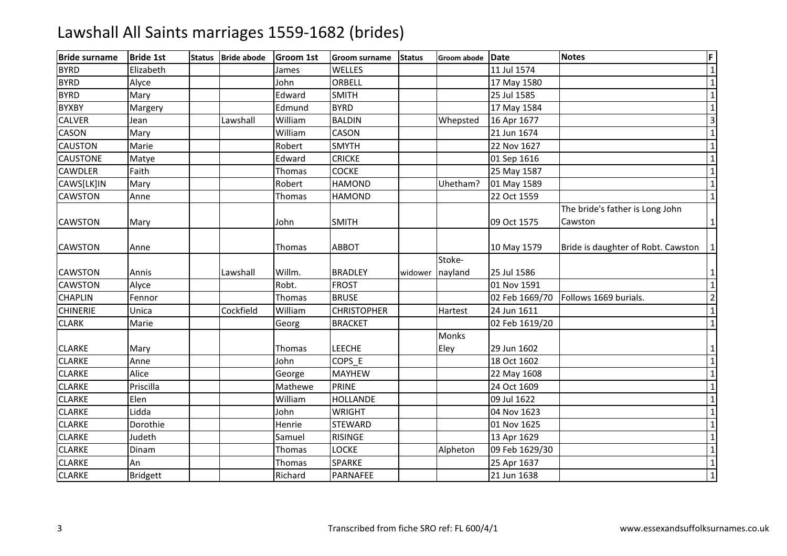| <b>Bride surname</b> | <b>Bride 1st</b> | <b>Status</b> | <b>Bride abode</b> | <b>Groom 1st</b> | <b>Groom surname</b> | <b>Status</b> | Groom abode  | Date           | <b>Notes</b>                       | F                       |
|----------------------|------------------|---------------|--------------------|------------------|----------------------|---------------|--------------|----------------|------------------------------------|-------------------------|
| <b>BYRD</b>          | Elizabeth        |               |                    | James            | WELLES               |               |              | 11 Jul 1574    |                                    | $\mathbf 1$             |
| <b>BYRD</b>          | Alyce            |               |                    | John             | ORBELL               |               |              | 17 May 1580    |                                    | $\mathbf{1}$            |
| <b>BYRD</b>          | Mary             |               |                    | Edward           | <b>SMITH</b>         |               |              | 25 Jul 1585    |                                    | $\mathbf{1}$            |
| <b>BYXBY</b>         | Margery          |               |                    | Edmund           | <b>BYRD</b>          |               |              | 17 May 1584    |                                    | $\mathbf{1}$            |
| <b>CALVER</b>        | Jean             |               | Lawshall           | William          | <b>BALDIN</b>        |               | Whepsted     | 16 Apr 1677    |                                    | 3                       |
| <b>CASON</b>         | Mary             |               |                    | William          | CASON                |               |              | 21 Jun 1674    |                                    | $\mathbf 1$             |
| <b>CAUSTON</b>       | Marie            |               |                    | Robert           | <b>SMYTH</b>         |               |              | 22 Nov 1627    |                                    | $\overline{1}$          |
| <b>CAUSTONE</b>      | Matye            |               |                    | Edward           | <b>CRICKE</b>        |               |              | 01 Sep 1616    |                                    | $\mathbf 1$             |
| <b>CAWDLER</b>       | Faith            |               |                    | Thomas           | <b>COCKE</b>         |               |              | 25 May 1587    |                                    | $\mathbf 1$             |
| CAWS[LK]IN           | Mary             |               |                    | Robert           | <b>HAMOND</b>        |               | Uhetham?     | 01 May 1589    |                                    | $\mathbf{1}$            |
| <b>CAWSTON</b>       | Anne             |               |                    | Thomas           | <b>HAMOND</b>        |               |              | 22 Oct 1559    |                                    | $\mathbf{1}$            |
|                      |                  |               |                    |                  |                      |               |              |                | The bride's father is Long John    |                         |
| <b>CAWSTON</b>       | Mary             |               |                    | John             | <b>SMITH</b>         |               |              | 09 Oct 1575    | Cawston                            | $\mathbf{1}$            |
| <b>CAWSTON</b>       | Anne             |               |                    | Thomas           | <b>ABBOT</b>         |               |              | 10 May 1579    | Bride is daughter of Robt. Cawston | $\mathbf{1}$            |
|                      |                  |               |                    |                  |                      |               | Stoke-       |                |                                    |                         |
| <b>CAWSTON</b>       | Annis            |               | Lawshall           | Willm.           | <b>BRADLEY</b>       | widower       | nayland      | 25 Jul 1586    |                                    | $1\vert$                |
| <b>CAWSTON</b>       | Alyce            |               |                    | Robt.            | <b>FROST</b>         |               |              | 01 Nov 1591    |                                    | $\overline{1}$          |
| <b>CHAPLIN</b>       | Fennor           |               |                    | Thomas           | <b>BRUSE</b>         |               |              | 02 Feb 1669/70 | Follows 1669 burials.              | $\overline{2}$          |
| <b>CHINERIE</b>      | Unica            |               | Cockfield          | William          | <b>CHRISTOPHER</b>   |               | Hartest      | 24 Jun 1611    |                                    | $\mathbf{1}$            |
| <b>CLARK</b>         | Marie            |               |                    | Georg            | <b>BRACKET</b>       |               |              | 02 Feb 1619/20 |                                    | $\mathbf{1}$            |
|                      |                  |               |                    |                  |                      |               | <b>Monks</b> |                |                                    |                         |
| <b>CLARKE</b>        | Mary             |               |                    | Thomas           | <b>LEECHE</b>        |               | Eley         | 29 Jun 1602    |                                    | $\mathbf{1}$            |
| <b>CLARKE</b>        | Anne             |               |                    | John             | COPS_E               |               |              | 18 Oct 1602    |                                    | $\mathbf 1$             |
| <b>CLARKE</b>        | Alice            |               |                    | George           | <b>MAYHEW</b>        |               |              | 22 May 1608    |                                    | $\mathbf{1}$            |
| <b>CLARKE</b>        | Priscilla        |               |                    | Mathewe          | <b>PRINE</b>         |               |              | 24 Oct 1609    |                                    | $\mathbf{1}$            |
| <b>CLARKE</b>        | Elen             |               |                    | William          | <b>HOLLANDE</b>      |               |              | 09 Jul 1622    |                                    | $\mathbf 1$             |
| <b>CLARKE</b>        | Lidda            |               |                    | John             | <b>WRIGHT</b>        |               |              | 04 Nov 1623    |                                    | $\mathbf{1}$            |
| <b>CLARKE</b>        | Dorothie         |               |                    | Henrie           | <b>STEWARD</b>       |               |              | 01 Nov 1625    |                                    | $\mathbf 1$             |
| <b>CLARKE</b>        | Judeth           |               |                    | Samuel           | <b>RISINGE</b>       |               |              | 13 Apr 1629    |                                    | $\overline{1}$          |
| <b>CLARKE</b>        | Dinam            |               |                    | Thomas           | <b>LOCKE</b>         |               | Alpheton     | 09 Feb 1629/30 |                                    | $\mathbf{1}$            |
| <b>CLARKE</b>        | An               |               |                    | Thomas           | SPARKE               |               |              | 25 Apr 1637    |                                    | $\mathbf{1}$            |
| <b>CLARKE</b>        | Bridgett         |               |                    | Richard          | PARNAFEE             |               |              | 21 Jun 1638    |                                    | $\overline{\mathbf{1}}$ |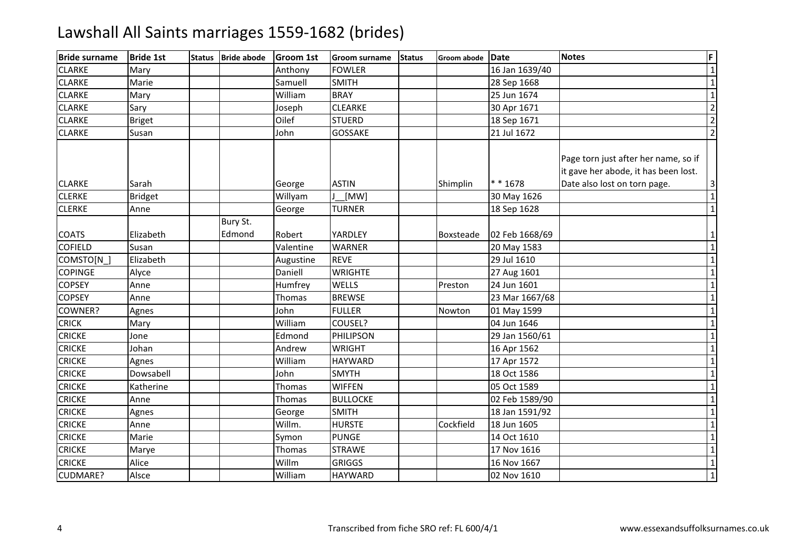| <b>Bride surname</b> | <b>Bride 1st</b> | <b>Status</b> | <b>Bride abode</b> | <b>Groom 1st</b> | <b>Groom surname</b> | <b>Status</b> | Groom abode      | <b>Date</b>    | <b>Notes</b>                                                                                                 | F                       |
|----------------------|------------------|---------------|--------------------|------------------|----------------------|---------------|------------------|----------------|--------------------------------------------------------------------------------------------------------------|-------------------------|
| <b>CLARKE</b>        | Mary             |               |                    | Anthony          | <b>FOWLER</b>        |               |                  | 16 Jan 1639/40 |                                                                                                              | $\overline{\mathbf{1}}$ |
| <b>CLARKE</b>        | Marie            |               |                    | Samuell          | <b>SMITH</b>         |               |                  | 28 Sep 1668    |                                                                                                              | $\mathbf 1$             |
| <b>CLARKE</b>        | Mary             |               |                    | William          | <b>BRAY</b>          |               |                  | 25 Jun 1674    |                                                                                                              | $\mathbf 1$             |
| <b>CLARKE</b>        | Sary             |               |                    | Joseph           | <b>CLEARKE</b>       |               |                  | 30 Apr 1671    |                                                                                                              | $\overline{2}$          |
| <b>CLARKE</b>        | <b>Briget</b>    |               |                    | Oilef            | <b>STUERD</b>        |               |                  | 18 Sep 1671    |                                                                                                              | $\overline{2}$          |
| <b>CLARKE</b>        | Susan            |               |                    | John             | <b>GOSSAKE</b>       |               |                  | 21 Jul 1672    |                                                                                                              | $\overline{2}$          |
| <b>CLARKE</b>        | Sarah            |               |                    | George           | <b>ASTIN</b>         |               | Shimplin         | $* * 1678$     | Page torn just after her name, so if<br>it gave her abode, it has been lost.<br>Date also lost on torn page. | $\mathbf{3}$            |
| <b>CLERKE</b>        | <b>Bridget</b>   |               |                    | Willyam          | [MW]                 |               |                  | 30 May 1626    |                                                                                                              | $\mathbf 1$             |
| <b>CLERKE</b>        | Anne             |               |                    | George           | <b>TURNER</b>        |               |                  | 18 Sep 1628    |                                                                                                              | $\mathbf 1$             |
| <b>COATS</b>         | Elizabeth        |               | Bury St.<br>Edmond | Robert           | YARDLEY              |               | <b>Boxsteade</b> | 02 Feb 1668/69 |                                                                                                              | $\mathbf{1}$            |
| <b>COFIELD</b>       | Susan            |               |                    | Valentine        | <b>WARNER</b>        |               |                  | 20 May 1583    |                                                                                                              | $\overline{1}$          |
| COMSTO[N_]           | Elizabeth        |               |                    | Augustine        | <b>REVE</b>          |               |                  | 29 Jul 1610    |                                                                                                              | $\mathbf{1}$            |
| <b>COPINGE</b>       | Alyce            |               |                    | Daniell          | <b>WRIGHTE</b>       |               |                  | 27 Aug 1601    |                                                                                                              | $\mathbf{1}$            |
| <b>COPSEY</b>        | Anne             |               |                    | Humfrey          | WELLS                |               | Preston          | 24 Jun 1601    |                                                                                                              | $\mathbf 1$             |
| <b>COPSEY</b>        | Anne             |               |                    | Thomas           | <b>BREWSE</b>        |               |                  | 23 Mar 1667/68 |                                                                                                              | $\overline{1}$          |
| COWNER?              | Agnes            |               |                    | John             | <b>FULLER</b>        |               | Nowton           | 01 May 1599    |                                                                                                              | $\mathbf 1$             |
| <b>CRICK</b>         | Mary             |               |                    | William          | COUSEL?              |               |                  | 04 Jun 1646    |                                                                                                              | $\mathbf{1}$            |
| <b>CRICKE</b>        | Jone             |               |                    | Edmond           | PHILIPSON            |               |                  | 29 Jan 1560/61 |                                                                                                              | $\mathbf{1}$            |
| <b>CRICKE</b>        | Johan            |               |                    | Andrew           | <b>WRIGHT</b>        |               |                  | 16 Apr 1562    |                                                                                                              | $\mathbf 1$             |
| <b>CRICKE</b>        | Agnes            |               |                    | William          | <b>HAYWARD</b>       |               |                  | 17 Apr 1572    |                                                                                                              | $\mathbf{1}$            |
| <b>CRICKE</b>        | Dowsabell        |               |                    | John             | <b>SMYTH</b>         |               |                  | 18 Oct 1586    |                                                                                                              | $\mathbf{1}$            |
| <b>CRICKE</b>        | Katherine        |               |                    | Thomas           | <b>WIFFEN</b>        |               |                  | 05 Oct 1589    |                                                                                                              | $\mathbf{1}$            |
| <b>CRICKE</b>        | Anne             |               |                    | Thomas           | <b>BULLOCKE</b>      |               |                  | 02 Feb 1589/90 |                                                                                                              | $\mathbf{1}$            |
| <b>CRICKE</b>        | Agnes            |               |                    | George           | <b>SMITH</b>         |               |                  | 18 Jan 1591/92 |                                                                                                              | $\mathbf{1}$            |
| <b>CRICKE</b>        | Anne             |               |                    | Willm.           | <b>HURSTE</b>        |               | Cockfield        | 18 Jun 1605    |                                                                                                              | $\mathbf{1}$            |
| <b>CRICKE</b>        | Marie            |               |                    | Symon            | <b>PUNGE</b>         |               |                  | 14 Oct 1610    |                                                                                                              | $\mathbf{1}$            |
| <b>CRICKE</b>        | Marye            |               |                    | Thomas           | <b>STRAWE</b>        |               |                  | 17 Nov 1616    |                                                                                                              | $\mathbf{1}$            |
| <b>CRICKE</b>        | Alice            |               |                    | Willm            | <b>GRIGGS</b>        |               |                  | 16 Nov 1667    |                                                                                                              | $\overline{\mathbf{1}}$ |
| CUDMARE?             | Alsce            |               |                    | William          | <b>HAYWARD</b>       |               |                  | 02 Nov 1610    |                                                                                                              | $\mathbf{1}$            |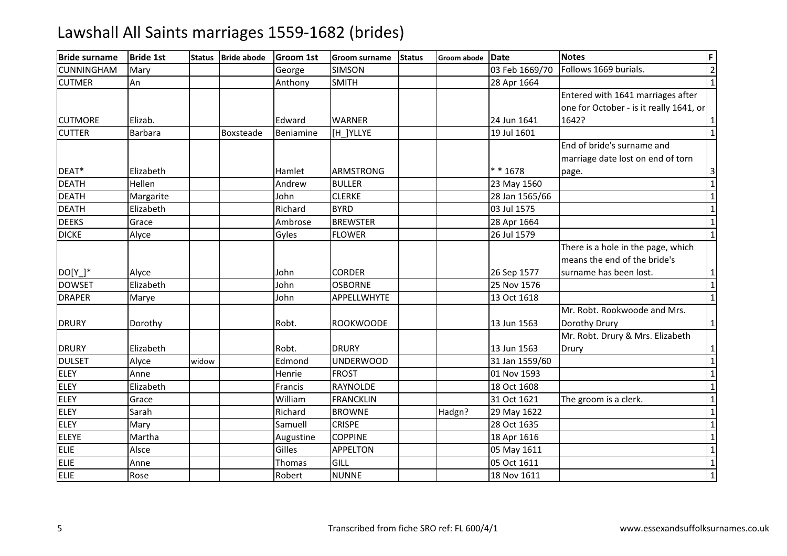| <b>Bride surname</b> | <b>Bride 1st</b> | <b>Status</b> | <b>Bride abode</b> | <b>Groom 1st</b> | <b>Groom surname</b> | <b>Status</b> | Groom abode Date |                | <b>Notes</b>                            | F                       |
|----------------------|------------------|---------------|--------------------|------------------|----------------------|---------------|------------------|----------------|-----------------------------------------|-------------------------|
| <b>CUNNINGHAM</b>    | Mary             |               |                    | George           | <b>SIMSON</b>        |               |                  | 03 Feb 1669/70 | Follows 1669 burials.                   | $\frac{2}{1}$           |
| <b>CUTMER</b>        | An               |               |                    | Anthony          | <b>SMITH</b>         |               |                  | 28 Apr 1664    |                                         |                         |
|                      |                  |               |                    |                  |                      |               |                  |                | Entered with 1641 marriages after       |                         |
|                      |                  |               |                    |                  |                      |               |                  |                | one for October - is it really 1641, or |                         |
| <b>CUTMORE</b>       | Elizab.          |               |                    | Edward           | <b>WARNER</b>        |               |                  | 24 Jun 1641    | 1642?                                   | 1                       |
| <b>CUTTER</b>        | Barbara          |               | Boxsteade          | Beniamine        | [H ]YLLYE            |               |                  | 19 Jul 1601    |                                         | $\overline{1}$          |
|                      |                  |               |                    |                  |                      |               |                  |                | End of bride's surname and              |                         |
|                      |                  |               |                    |                  |                      |               |                  |                | marriage date lost on end of torn       |                         |
| DEAT*                | Elizabeth        |               |                    | Hamlet           | <b>ARMSTRONG</b>     |               |                  | $* * 1678$     | page.                                   | 3                       |
| <b>DEATH</b>         | Hellen           |               |                    | Andrew           | <b>BULLER</b>        |               |                  | 23 May 1560    |                                         | $\overline{1}$          |
| <b>DEATH</b>         | Margarite        |               |                    | John             | <b>CLERKE</b>        |               |                  | 28 Jan 1565/66 |                                         | $\overline{\mathbf{1}}$ |
| <b>DEATH</b>         | Elizabeth        |               |                    | Richard          | <b>BYRD</b>          |               |                  | 03 Jul 1575    |                                         | $\overline{1}$          |
| <b>DEEKS</b>         | Grace            |               |                    | Ambrose          | <b>BREWSTER</b>      |               |                  | 28 Apr 1664    |                                         | $\overline{\mathbf{1}}$ |
| <b>DICKE</b>         | Alyce            |               |                    | Gyles            | <b>FLOWER</b>        |               |                  | 26 Jul 1579    |                                         | $\overline{1}$          |
|                      |                  |               |                    |                  |                      |               |                  |                | There is a hole in the page, which      |                         |
|                      |                  |               |                    |                  |                      |               |                  |                | means the end of the bride's            |                         |
| $DO[Y_$              | Alyce            |               |                    | John             | <b>CORDER</b>        |               |                  | 26 Sep 1577    | surname has been lost.                  | $\mathbf 1$             |
| <b>DOWSET</b>        | Elizabeth        |               |                    | John             | <b>OSBORNE</b>       |               |                  | 25 Nov 1576    |                                         | $\overline{1}$          |
| <b>DRAPER</b>        | Marye            |               |                    | John             | APPELLWHYTE          |               |                  | 13 Oct 1618    |                                         | $\overline{1}$          |
|                      |                  |               |                    |                  |                      |               |                  |                | Mr. Robt. Rookwoode and Mrs.            |                         |
| <b>DRURY</b>         | Dorothy          |               |                    | Robt.            | <b>ROOKWOODE</b>     |               |                  | 13 Jun 1563    | Dorothy Drury                           | $\mathbf{1}$            |
|                      |                  |               |                    |                  |                      |               |                  |                | Mr. Robt. Drury & Mrs. Elizabeth        |                         |
| <b>DRURY</b>         | Elizabeth        |               |                    | Robt.            | <b>DRURY</b>         |               |                  | 13 Jun 1563    | Drury                                   | $\mathbf{1}$            |
| <b>DULSET</b>        | Alyce            | widow         |                    | Edmond           | <b>UNDERWOOD</b>     |               |                  | 31 Jan 1559/60 |                                         | $\mathbf{1}$            |
| <b>ELEY</b>          | Anne             |               |                    | Henrie           | <b>FROST</b>         |               |                  | 01 Nov 1593    |                                         | $\overline{1}$          |
| <b>ELEY</b>          | Elizabeth        |               |                    | Francis          | RAYNOLDE             |               |                  | 18 Oct 1608    |                                         | $\mathbf 1$             |
| <b>ELEY</b>          | Grace            |               |                    | William          | <b>FRANCKLIN</b>     |               |                  | 31 Oct 1621    | The groom is a clerk.                   | $\overline{1}$          |
| <b>ELEY</b>          | Sarah            |               |                    | Richard          | <b>BROWNE</b>        |               | Hadgn?           | 29 May 1622    |                                         | $\overline{1}$          |
| <b>ELEY</b>          | Mary             |               |                    | Samuell          | <b>CRISPE</b>        |               |                  | 28 Oct 1635    |                                         | $\overline{1}$          |
| <b>ELEYE</b>         | Martha           |               |                    | Augustine        | <b>COPPINE</b>       |               |                  | 18 Apr 1616    |                                         | $\overline{1}$          |
| <b>ELIE</b>          | Alsce            |               |                    | Gilles           | <b>APPELTON</b>      |               |                  | 05 May 1611    |                                         | $\overline{1}$          |
| <b>ELIE</b>          | Anne             |               |                    | Thomas           | GILL                 |               |                  | 05 Oct 1611    |                                         | $\mathbf 1$             |
| ELIE                 | Rose             |               |                    | Robert           | <b>NUNNE</b>         |               |                  | 18 Nov 1611    |                                         | $\overline{1}$          |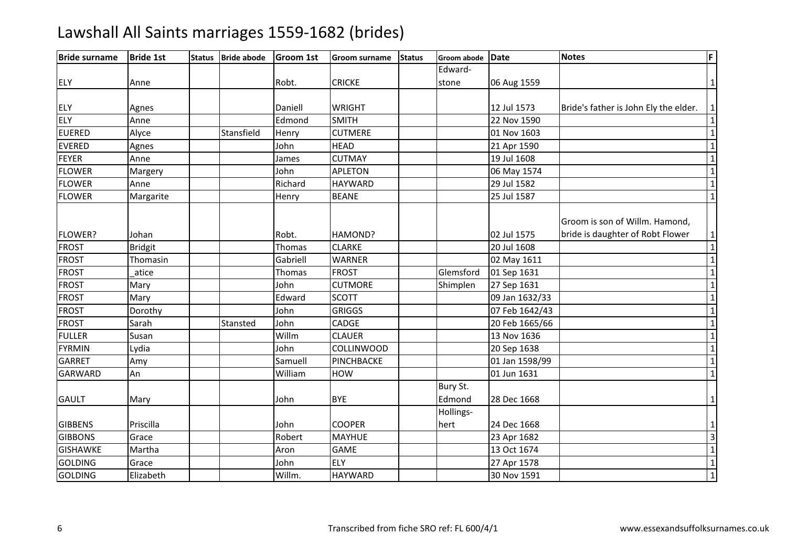| <b>Bride surname</b> | <b>Bride 1st</b> | <b>Status</b> | <b>Bride abode</b> | <b>Groom 1st</b> | <b>Groom surname</b> | <b>Status</b> | Groom abode Date   |                | <b>Notes</b>                                                       | F                       |
|----------------------|------------------|---------------|--------------------|------------------|----------------------|---------------|--------------------|----------------|--------------------------------------------------------------------|-------------------------|
|                      |                  |               |                    |                  |                      |               | Edward-            |                |                                                                    |                         |
| <b>ELY</b>           | Anne             |               |                    | Robt.            | <b>CRICKE</b>        |               | stone              | 06 Aug 1559    |                                                                    | $\mathbf{1}$            |
|                      |                  |               |                    |                  |                      |               |                    |                |                                                                    |                         |
| <b>ELY</b>           | Agnes            |               |                    | Daniell          | <b>WRIGHT</b>        |               |                    | 12 Jul 1573    | Bride's father is John Ely the elder.                              | $\mathbf{1}$            |
| ELY                  | Anne             |               |                    | Edmond           | <b>SMITH</b>         |               |                    | 22 Nov 1590    |                                                                    | $\mathbf 1$             |
| <b>EUERED</b>        | Alyce            |               | Stansfield         | Henry            | <b>CUTMERE</b>       |               |                    | 01 Nov 1603    |                                                                    | $\overline{\mathbf{1}}$ |
| <b>EVERED</b>        | Agnes            |               |                    | John             | <b>HEAD</b>          |               |                    | 21 Apr 1590    |                                                                    | $\overline{1}$          |
| FEYER                | Anne             |               |                    | James            | <b>CUTMAY</b>        |               |                    | 19 Jul 1608    |                                                                    | $\mathbf 1$             |
| <b>FLOWER</b>        | Margery          |               |                    | John             | <b>APLETON</b>       |               |                    | 06 May 1574    |                                                                    | $\overline{1}$          |
| <b>FLOWER</b>        | Anne             |               |                    | Richard          | <b>HAYWARD</b>       |               |                    | 29 Jul 1582    |                                                                    | $\overline{1}$          |
| <b>FLOWER</b>        | Margarite        |               |                    | Henry            | <b>BEANE</b>         |               |                    | 25 Jul 1587    |                                                                    | $\mathbf 1$             |
| FLOWER?              | Johan            |               |                    | Robt.            | HAMOND?              |               |                    | 02 Jul 1575    | Groom is son of Willm. Hamond,<br>bride is daughter of Robt Flower | $\mathbf{1}$            |
| <b>FROST</b>         | <b>Bridgit</b>   |               |                    | Thomas           | <b>CLARKE</b>        |               |                    | 20 Jul 1608    |                                                                    | $\mathbf{1}$            |
| <b>FROST</b>         | Thomasin         |               |                    | Gabriell         | <b>WARNER</b>        |               |                    | 02 May 1611    |                                                                    | $\overline{1}$          |
| <b>FROST</b>         | atice            |               |                    | Thomas           | <b>FROST</b>         |               | Glemsford          | 01 Sep 1631    |                                                                    | $\overline{1}$          |
| <b>FROST</b>         | Mary             |               |                    | John             | <b>CUTMORE</b>       |               | Shimplen           | 27 Sep 1631    |                                                                    | $\overline{1}$          |
| <b>FROST</b>         | Mary             |               |                    | Edward           | <b>SCOTT</b>         |               |                    | 09 Jan 1632/33 |                                                                    | $\mathbf 1$             |
| <b>FROST</b>         | Dorothy          |               |                    | John             | <b>GRIGGS</b>        |               |                    | 07 Feb 1642/43 |                                                                    | $\overline{1}$          |
| <b>FROST</b>         | Sarah            |               | Stansted           | John             | CADGE                |               |                    | 20 Feb 1665/66 |                                                                    | $\overline{1}$          |
| <b>FULLER</b>        | Susan            |               |                    | Willm            | <b>CLAUER</b>        |               |                    | 13 Nov 1636    |                                                                    | $\overline{1}$          |
| <b>FYRMIN</b>        | Lydia            |               |                    | John             | COLLINWOOD           |               |                    | 20 Sep 1638    |                                                                    | $\overline{1}$          |
| <b>GARRET</b>        | Amy              |               |                    | Samuell          | PINCHBACKE           |               |                    | 01 Jan 1598/99 |                                                                    | $\overline{1}$          |
| <b>GARWARD</b>       | An               |               |                    | William          | HOW                  |               |                    | 01 Jun 1631    |                                                                    | $\overline{1}$          |
| <b>GAULT</b>         | Mary             |               |                    | John             | <b>BYE</b>           |               | Bury St.<br>Edmond | 28 Dec 1668    |                                                                    | $\mathbf{1}$            |
| <b>GIBBENS</b>       | Priscilla        |               |                    | John             | <b>COOPER</b>        |               | Hollings-<br>hert  | 24 Dec 1668    |                                                                    | $\mathbf{1}$            |
| <b>GIBBONS</b>       | Grace            |               |                    | Robert           | <b>MAYHUE</b>        |               |                    | 23 Apr 1682    |                                                                    | $\overline{3}$          |
| <b>GISHAWKE</b>      | Martha           |               |                    | Aron             | <b>GAME</b>          |               |                    | 13 Oct 1674    |                                                                    | $\overline{1}$          |
| <b>GOLDING</b>       | Grace            |               |                    | John             | ELY                  |               |                    | 27 Apr 1578    |                                                                    | $\overline{1}$          |
| <b>GOLDING</b>       | Elizabeth        |               |                    | Willm.           | <b>HAYWARD</b>       |               |                    | 30 Nov 1591    |                                                                    | $\overline{1}$          |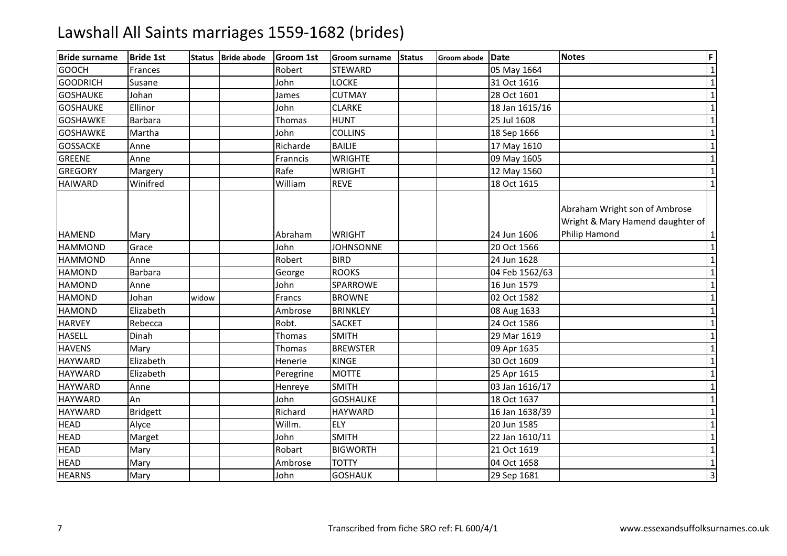| <b>Bride surname</b> | <b>Bride 1st</b> | <b>Status</b> | <b>Bride abode</b> | <b>Groom 1st</b> | <b>Groom surname</b> | <b>Status</b> | Groom abode Date |                | <b>Notes</b>                                                                       | F              |
|----------------------|------------------|---------------|--------------------|------------------|----------------------|---------------|------------------|----------------|------------------------------------------------------------------------------------|----------------|
| <b>GOOCH</b>         | Frances          |               |                    | Robert           | <b>STEWARD</b>       |               |                  | 05 May 1664    |                                                                                    | $\mathbf{1}$   |
| <b>GOODRICH</b>      | Susane           |               |                    | John             | <b>LOCKE</b>         |               |                  | 31 Oct 1616    |                                                                                    | $\mathbf{1}$   |
| <b>GOSHAUKE</b>      | Johan            |               |                    | James            | <b>CUTMAY</b>        |               |                  | 28 Oct 1601    |                                                                                    | $\mathbf 1$    |
| <b>GOSHAUKE</b>      | Ellinor          |               |                    | John             | <b>CLARKE</b>        |               |                  | 18 Jan 1615/16 |                                                                                    | $\mathbf{1}$   |
| <b>GOSHAWKE</b>      | <b>Barbara</b>   |               |                    | Thomas           | <b>HUNT</b>          |               |                  | 25 Jul 1608    |                                                                                    | $\mathbf{1}$   |
| <b>GOSHAWKE</b>      | Martha           |               |                    | John             | <b>COLLINS</b>       |               |                  | 18 Sep 1666    |                                                                                    | $\mathbf 1$    |
| <b>GOSSACKE</b>      | Anne             |               |                    | Richarde         | <b>BAILIE</b>        |               |                  | 17 May 1610    |                                                                                    | $\overline{1}$ |
| <b>GREENE</b>        | Anne             |               |                    | Franncis         | <b>WRIGHTE</b>       |               |                  | 09 May 1605    |                                                                                    | $\mathbf{1}$   |
| <b>GREGORY</b>       | Margery          |               |                    | Rafe             | <b>WRIGHT</b>        |               |                  | 12 May 1560    |                                                                                    | $\mathbf{1}$   |
| <b>HAIWARD</b>       | Winifred         |               |                    | William          | <b>REVE</b>          |               |                  | 18 Oct 1615    |                                                                                    | $\mathbf 1$    |
| <b>HAMEND</b>        | Mary             |               |                    | Abraham          | <b>WRIGHT</b>        |               |                  | 24 Jun 1606    | Abraham Wright son of Ambrose<br>Wright & Mary Hamend daughter of<br>Philip Hamond | $\mathbf{1}$   |
| <b>HAMMOND</b>       | Grace            |               |                    | John             | <b>JOHNSONNE</b>     |               |                  | 20 Oct 1566    |                                                                                    | $\mathbf{1}$   |
| <b>HAMMOND</b>       | Anne             |               |                    | Robert           | <b>BIRD</b>          |               |                  | 24 Jun 1628    |                                                                                    | $\mathbf{1}$   |
| <b>HAMOND</b>        | <b>Barbara</b>   |               |                    | George           | <b>ROOKS</b>         |               |                  | 04 Feb 1562/63 |                                                                                    | $\mathbf{1}$   |
| <b>HAMOND</b>        | Anne             |               |                    | John             | SPARROWE             |               |                  | 16 Jun 1579    |                                                                                    | $\mathbf{1}$   |
| <b>HAMOND</b>        | Johan            | widow         |                    | Francs           | <b>BROWNE</b>        |               |                  | 02 Oct 1582    |                                                                                    | $\mathbf{1}$   |
| <b>HAMOND</b>        | Elizabeth        |               |                    | Ambrose          | <b>BRINKLEY</b>      |               |                  | 08 Aug 1633    |                                                                                    | $\mathbf{1}$   |
| <b>HARVEY</b>        | Rebecca          |               |                    | Robt.            | <b>SACKET</b>        |               |                  | 24 Oct 1586    |                                                                                    | $\mathbf{1}$   |
| <b>HASELL</b>        | Dinah            |               |                    | Thomas           | <b>SMITH</b>         |               |                  | 29 Mar 1619    |                                                                                    | $\mathbf{1}$   |
| <b>HAVENS</b>        | Mary             |               |                    | Thomas           | <b>BREWSTER</b>      |               |                  | 09 Apr 1635    |                                                                                    | $\mathbf{1}$   |
| <b>HAYWARD</b>       | Elizabeth        |               |                    | Henerie          | <b>KINGE</b>         |               |                  | 30 Oct 1609    |                                                                                    | $\mathbf 1$    |
| <b>HAYWARD</b>       | Elizabeth        |               |                    | Peregrine        | <b>MOTTE</b>         |               |                  | 25 Apr 1615    |                                                                                    | $\mathbf{1}$   |
| <b>HAYWARD</b>       | Anne             |               |                    | Henreye          | <b>SMITH</b>         |               |                  | 03 Jan 1616/17 |                                                                                    | $\mathbf{1}$   |
| <b>HAYWARD</b>       | An               |               |                    | John             | <b>GOSHAUKE</b>      |               |                  | 18 Oct 1637    |                                                                                    | $\mathbf 1$    |
| <b>HAYWARD</b>       | <b>Bridgett</b>  |               |                    | Richard          | <b>HAYWARD</b>       |               |                  | 16 Jan 1638/39 |                                                                                    | $\mathbf{1}$   |
| <b>HEAD</b>          | Alyce            |               |                    | Willm.           | <b>ELY</b>           |               |                  | 20 Jun 1585    |                                                                                    | $\mathbf 1$    |
| <b>HEAD</b>          | Marget           |               |                    | John             | <b>SMITH</b>         |               |                  | 22 Jan 1610/11 |                                                                                    | $\mathbf{1}$   |
| <b>HEAD</b>          | Mary             |               |                    | Robart           | <b>BIGWORTH</b>      |               |                  | 21 Oct 1619    |                                                                                    | $\mathbf{1}$   |
| <b>HEAD</b>          | Mary             |               |                    | Ambrose          | <b>TOTTY</b>         |               |                  | 04 Oct 1658    |                                                                                    | $\mathbf{1}$   |
| <b>HEARNS</b>        | Mary             |               |                    | John             | <b>GOSHAUK</b>       |               |                  | 29 Sep 1681    |                                                                                    | $\overline{3}$ |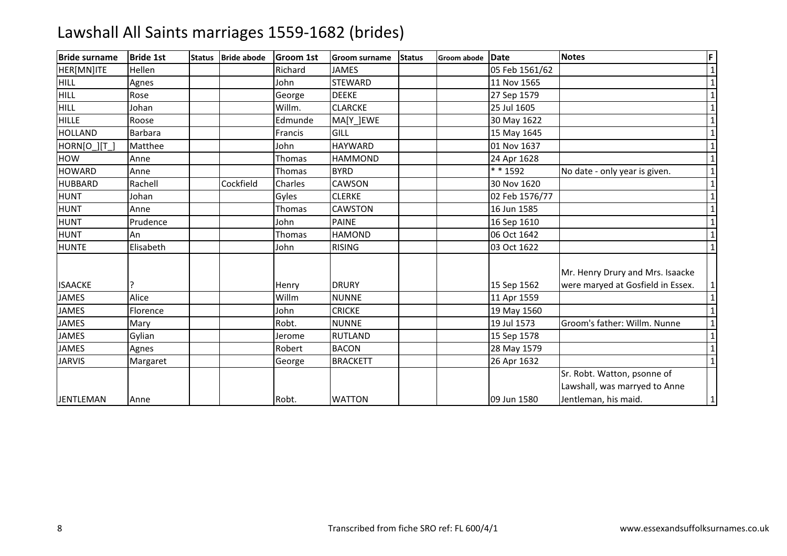| <b>Bride surname</b> | <b>Bride 1st</b> | <b>Status</b> | <b>Bride abode</b> | <b>Groom 1st</b> | <b>Groom surname</b> | <b>Status</b> | <b>Groom abode</b> | Date           | <b>Notes</b>                                                                         | F            |
|----------------------|------------------|---------------|--------------------|------------------|----------------------|---------------|--------------------|----------------|--------------------------------------------------------------------------------------|--------------|
| HER[MN]ITE           | Hellen           |               |                    | Richard          | <b>JAMES</b>         |               |                    | 05 Feb 1561/62 |                                                                                      | $\mathbf{1}$ |
| <b>HILL</b>          | Agnes            |               |                    | John             | <b>STEWARD</b>       |               |                    | 11 Nov 1565    |                                                                                      |              |
| <b>HILL</b>          | Rose             |               |                    | George           | <b>DEEKE</b>         |               |                    | 27 Sep 1579    |                                                                                      | $\mathbf{1}$ |
| <b>HILL</b>          | Johan            |               |                    | Willm.           | <b>CLARCKE</b>       |               |                    | 25 Jul 1605    |                                                                                      |              |
| <b>HILLE</b>         | Roose            |               |                    | Edmunde          | MA[Y ]EWE            |               |                    | 30 May 1622    |                                                                                      |              |
| <b>HOLLAND</b>       | <b>Barbara</b>   |               |                    | Francis          | GILL                 |               |                    | 15 May 1645    |                                                                                      | $\mathbf{1}$ |
| HORN[O_][T_]         | Matthee          |               |                    | John             | <b>HAYWARD</b>       |               |                    | 01 Nov 1637    |                                                                                      | 1            |
| HOW                  | Anne             |               |                    | Thomas           | <b>HAMMOND</b>       |               |                    | 24 Apr 1628    |                                                                                      | $\mathbf{1}$ |
| <b>HOWARD</b>        | Anne             |               |                    | Thomas           | <b>BYRD</b>          |               |                    | * * 1592       | No date - only year is given.                                                        | $\mathbf{1}$ |
| <b>HUBBARD</b>       | Rachell          |               | Cockfield          | Charles          | <b>CAWSON</b>        |               |                    | 30 Nov 1620    |                                                                                      | 1            |
| <b>HUNT</b>          | Johan            |               |                    | Gyles            | <b>CLERKE</b>        |               |                    | 02 Feb 1576/77 |                                                                                      |              |
| <b>HUNT</b>          | Anne             |               |                    | Thomas           | <b>CAWSTON</b>       |               |                    | 16 Jun 1585    |                                                                                      | $\mathbf{1}$ |
| <b>HUNT</b>          | Prudence         |               |                    | John             | <b>PAINE</b>         |               |                    | 16 Sep 1610    |                                                                                      | $\mathbf{1}$ |
| <b>HUNT</b>          | An               |               |                    | Thomas           | <b>HAMOND</b>        |               |                    | 06 Oct 1642    |                                                                                      |              |
| <b>HUNTE</b>         | Elisabeth        |               |                    | John             | <b>RISING</b>        |               |                    | 03 Oct 1622    |                                                                                      | $\mathbf{1}$ |
| <b>ISAACKE</b>       |                  |               |                    | Henry            | <b>DRURY</b>         |               |                    | 15 Sep 1562    | Mr. Henry Drury and Mrs. Isaacke<br>were maryed at Gosfield in Essex.                | $\mathbf{1}$ |
| <b>JAMES</b>         | Alice            |               |                    | Willm            | <b>NUNNE</b>         |               |                    | 11 Apr 1559    |                                                                                      | $\mathbf{1}$ |
| <b>JAMES</b>         | Florence         |               |                    | John             | <b>CRICKE</b>        |               |                    | 19 May 1560    |                                                                                      | $\mathbf{1}$ |
| <b>JAMES</b>         | Mary             |               |                    | Robt.            | <b>NUNNE</b>         |               |                    | 19 Jul 1573    | Groom's father: Willm. Nunne                                                         | $\mathbf{1}$ |
| <b>JAMES</b>         | Gylian           |               |                    | Jerome           | <b>RUTLAND</b>       |               |                    | 15 Sep 1578    |                                                                                      | 1            |
| <b>JAMES</b>         | Agnes            |               |                    | Robert           | <b>BACON</b>         |               |                    | 28 May 1579    |                                                                                      | $\mathbf{1}$ |
| <b>JARVIS</b>        | Margaret         |               |                    | George           | <b>BRACKETT</b>      |               |                    | 26 Apr 1632    |                                                                                      | $\mathbf{1}$ |
|                      |                  |               |                    |                  | <b>WATTON</b>        |               |                    | 09 Jun 1580    | Sr. Robt. Watton, psonne of<br>Lawshall, was marryed to Anne<br>Jentleman, his maid. |              |
| <b>JENTLEMAN</b>     | Anne             |               |                    | Robt.            |                      |               |                    |                |                                                                                      | $\mathbf{1}$ |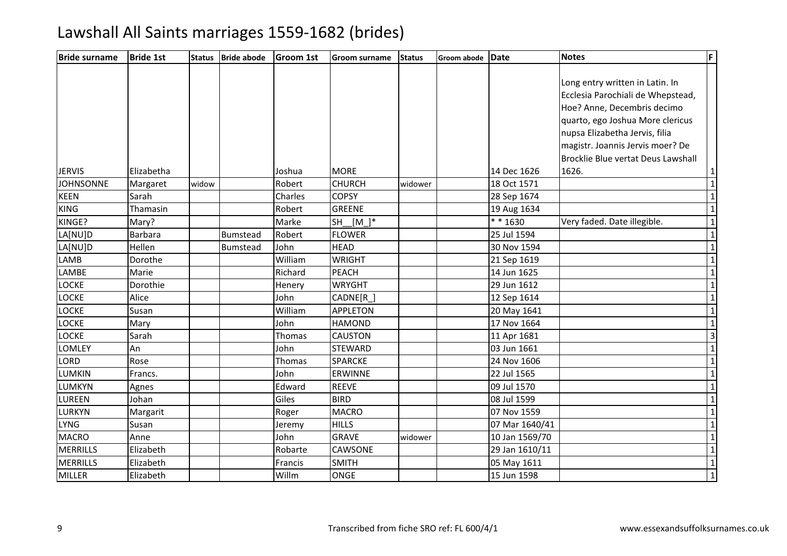| <b>Bride surname</b> | <b>Bride 1st</b> | <b>Status</b> | <b>Bride abode</b> | Groom 1st | Groom surname             | <b>Status</b> | Groom abode | Date           | <b>Notes</b>                       | F              |
|----------------------|------------------|---------------|--------------------|-----------|---------------------------|---------------|-------------|----------------|------------------------------------|----------------|
|                      |                  |               |                    |           |                           |               |             |                |                                    |                |
|                      |                  |               |                    |           |                           |               |             |                | Long entry written in Latin. In    |                |
|                      |                  |               |                    |           |                           |               |             |                | Ecclesia Parochiali de Whepstead,  |                |
|                      |                  |               |                    |           |                           |               |             |                | Hoe? Anne, Decembris decimo        |                |
|                      |                  |               |                    |           |                           |               |             |                | quarto, ego Joshua More clericus   |                |
|                      |                  |               |                    |           |                           |               |             |                | nupsa Elizabetha Jervis, filia     |                |
|                      |                  |               |                    |           |                           |               |             |                | magistr. Joannis Jervis moer? De   |                |
|                      |                  |               |                    |           |                           |               |             |                | Brocklie Blue vertat Deus Lawshall |                |
| <b>JERVIS</b>        | Elizabetha       |               |                    | Joshua    | <b>MORE</b>               |               |             | 14 Dec 1626    | 1626.                              | $\mathbf{1}$   |
| <b>JOHNSONNE</b>     | Margaret         | widow         |                    | Robert    | <b>CHURCH</b>             | widower       |             | 18 Oct 1571    |                                    | $\overline{1}$ |
| <b>KEEN</b>          | Sarah            |               |                    | Charles   | <b>COPSY</b>              |               |             | 28 Sep 1674    |                                    | $\overline{1}$ |
| <b>KING</b>          | Thamasin         |               |                    | Robert    | <b>GREENE</b>             |               |             | 19 Aug 1634    |                                    | $\mathbf 1$    |
| KINGE?               | Mary?            |               |                    | Marke     | $[M_\_]\ast$<br><b>SH</b> |               |             | $* * 1630$     | Very faded. Date illegible.        | $\overline{1}$ |
| LA[NU]D              | <b>Barbara</b>   |               | <b>Bumstead</b>    | Robert    | <b>FLOWER</b>             |               |             | 25 Jul 1594    |                                    | $\mathbf{1}$   |
| LA[NU]D              | Hellen           |               | Bumstead           | John      | <b>HEAD</b>               |               |             | 30 Nov 1594    |                                    | $\overline{1}$ |
| <b>LAMB</b>          | Dorothe          |               |                    | William   | <b>WRIGHT</b>             |               |             | 21 Sep 1619    |                                    | $\overline{1}$ |
| LAMBE                | Marie            |               |                    | Richard   | <b>PEACH</b>              |               |             | 14 Jun 1625    |                                    | $\mathbf{1}$   |
| <b>LOCKE</b>         | Dorothie         |               |                    | Henery    | <b>WRYGHT</b>             |               |             | 29 Jun 1612    |                                    | $\overline{1}$ |
| <b>LOCKE</b>         | Alice            |               |                    | John      | CADNE[R]                  |               |             | 12 Sep 1614    |                                    | $\overline{1}$ |
| <b>LOCKE</b>         | Susan            |               |                    | William   | <b>APPLETON</b>           |               |             | 20 May 1641    |                                    | $\mathbf{1}$   |
| <b>LOCKE</b>         | Mary             |               |                    | John      | <b>HAMOND</b>             |               |             | 17 Nov 1664    |                                    | $\overline{1}$ |
| <b>LOCKE</b>         | Sarah            |               |                    | Thomas    | <b>CAUSTON</b>            |               |             | 11 Apr 1681    |                                    | $\overline{3}$ |
| LOMLEY               | An               |               |                    | John      | <b>STEWARD</b>            |               |             | 03 Jun 1661    |                                    | $\mathbf 1$    |
| LORD                 | Rose             |               |                    | Thomas    | <b>SPARCKE</b>            |               |             | 24 Nov 1606    |                                    | $\overline{1}$ |
| <b>LUMKIN</b>        | Francs.          |               |                    | John      | <b>ERWINNE</b>            |               |             | 22 Jul 1565    |                                    | $\overline{1}$ |
| <b>LUMKYN</b>        | Agnes            |               |                    | Edward    | <b>REEVE</b>              |               |             | 09 Jul 1570    |                                    | $\overline{1}$ |
| <b>LUREEN</b>        | Johan            |               |                    | Giles     | <b>BIRD</b>               |               |             | 08 Jul 1599    |                                    | $\overline{1}$ |
| <b>LURKYN</b>        | Margarit         |               |                    | Roger     | <b>MACRO</b>              |               |             | 07 Nov 1559    |                                    | $\overline{1}$ |
| <b>LYNG</b>          | Susan            |               |                    | Jeremy    | <b>HILLS</b>              |               |             | 07 Mar 1640/41 |                                    | $\mathbf{1}$   |
| <b>MACRO</b>         | Anne             |               |                    | John      | <b>GRAVE</b>              | widower       |             | 10 Jan 1569/70 |                                    | $\overline{1}$ |
| <b>MERRILLS</b>      | Elizabeth        |               |                    | Robarte   | CAWSONE                   |               |             | 29 Jan 1610/11 |                                    | $\overline{1}$ |
| <b>MERRILLS</b>      | Elizabeth        |               |                    | Francis   | <b>SMITH</b>              |               |             | 05 May 1611    |                                    | $\overline{1}$ |
| <b>MILLER</b>        | Elizabeth        |               |                    | Willm     | ONGE                      |               |             | 15 Jun 1598    |                                    | $\overline{1}$ |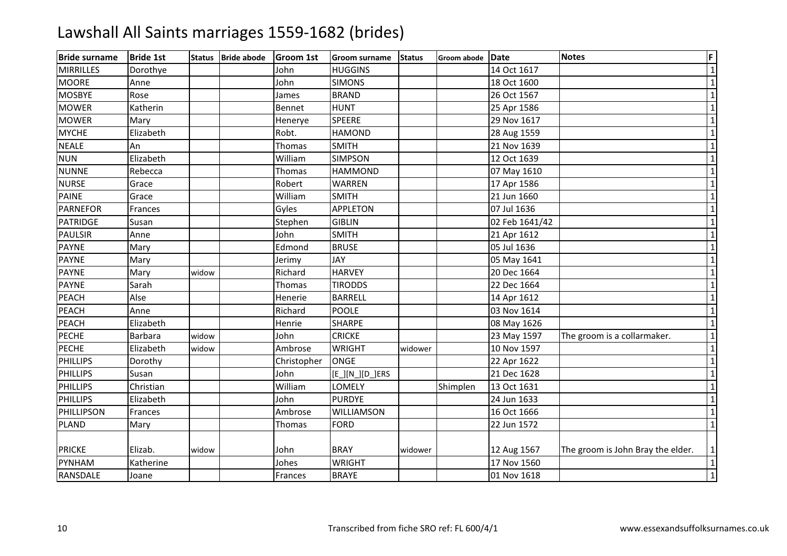| <b>Bride surname</b> | <b>Bride 1st</b> | <b>Status</b> | <b>Bride abode</b> | <b>Groom 1st</b> | <b>Groom surname</b> | <b>Status</b> | Groom abode | Date           | <b>Notes</b>                      | F            |
|----------------------|------------------|---------------|--------------------|------------------|----------------------|---------------|-------------|----------------|-----------------------------------|--------------|
| <b>MIRRILLES</b>     | Dorothye         |               |                    | John             | <b>HUGGINS</b>       |               |             | 14 Oct 1617    |                                   | $\mathbf 1$  |
| <b>MOORE</b>         | Anne             |               |                    | John             | <b>SIMONS</b>        |               |             | 18 Oct 1600    |                                   | $\mathbf{1}$ |
| <b>MOSBYE</b>        | Rose             |               |                    | James            | <b>BRAND</b>         |               |             | 26 Oct 1567    |                                   | $\mathbf{1}$ |
| <b>MOWER</b>         | Katherin         |               |                    | Bennet           | <b>HUNT</b>          |               |             | 25 Apr 1586    |                                   | $\mathbf{1}$ |
| <b>MOWER</b>         | Mary             |               |                    | Henerye          | <b>SPEERE</b>        |               |             | 29 Nov 1617    |                                   | $\mathbf{1}$ |
| <b>MYCHE</b>         | Elizabeth        |               |                    | Robt.            | <b>HAMOND</b>        |               |             | 28 Aug 1559    |                                   | $\mathbf{1}$ |
| <b>NEALE</b>         | An               |               |                    | Thomas           | <b>SMITH</b>         |               |             | 21 Nov 1639    |                                   | $\mathbf{1}$ |
| <b>NUN</b>           | Elizabeth        |               |                    | William          | <b>SIMPSON</b>       |               |             | 12 Oct 1639    |                                   | $\mathbf{1}$ |
| <b>NUNNE</b>         | Rebecca          |               |                    | Thomas           | <b>HAMMOND</b>       |               |             | 07 May 1610    |                                   | $\mathbf{1}$ |
| <b>NURSE</b>         | Grace            |               |                    | Robert           | <b>WARREN</b>        |               |             | 17 Apr 1586    |                                   | $\mathbf{1}$ |
| <b>PAINE</b>         | Grace            |               |                    | William          | <b>SMITH</b>         |               |             | 21 Jun 1660    |                                   | $\mathbf{1}$ |
| <b>PARNEFOR</b>      | Frances          |               |                    | Gyles            | <b>APPLETON</b>      |               |             | 07 Jul 1636    |                                   | $\mathbf{1}$ |
| <b>PATRIDGE</b>      | Susan            |               |                    | Stephen          | <b>GIBLIN</b>        |               |             | 02 Feb 1641/42 |                                   | $\mathbf{1}$ |
| <b>PAULSIR</b>       | Anne             |               |                    | John             | <b>SMITH</b>         |               |             | 21 Apr 1612    |                                   | $\mathbf{1}$ |
| <b>PAYNE</b>         | Mary             |               |                    | Edmond           | <b>BRUSE</b>         |               |             | 05 Jul 1636    |                                   | $\mathbf{1}$ |
| <b>PAYNE</b>         | Mary             |               |                    | Jerimy           | JAY                  |               |             | 05 May 1641    |                                   | $\mathbf{1}$ |
| <b>PAYNE</b>         | Mary             | widow         |                    | Richard          | <b>HARVEY</b>        |               |             | 20 Dec 1664    |                                   | $\mathbf{1}$ |
| <b>PAYNE</b>         | Sarah            |               |                    | Thomas           | <b>TIRODDS</b>       |               |             | 22 Dec 1664    |                                   | $\mathbf{1}$ |
| <b>PEACH</b>         | Alse             |               |                    | Henerie          | <b>BARRELL</b>       |               |             | 14 Apr 1612    |                                   | $\mathbf{1}$ |
| <b>PEACH</b>         | Anne             |               |                    | Richard          | <b>POOLE</b>         |               |             | 03 Nov 1614    |                                   | $\mathbf{1}$ |
| <b>PEACH</b>         | Elizabeth        |               |                    | Henrie           | <b>SHARPE</b>        |               |             | 08 May 1626    |                                   | $\mathbf{1}$ |
| <b>PECHE</b>         | Barbara          | widow         |                    | John             | <b>CRICKE</b>        |               |             | 23 May 1597    | The groom is a collarmaker.       | $\mathbf{1}$ |
| <b>PECHE</b>         | Elizabeth        | widow         |                    | Ambrose          | <b>WRIGHT</b>        | widower       |             | 10 Nov 1597    |                                   | $\mathbf{1}$ |
| <b>PHILLIPS</b>      | Dorothy          |               |                    | Christopher      | <b>ONGE</b>          |               |             | 22 Apr 1622    |                                   | $\mathbf{1}$ |
| PHILLIPS             | Susan            |               |                    | John             | [E_][N_][D_]ERS      |               |             | 21 Dec 1628    |                                   | $\mathbf{1}$ |
| <b>PHILLIPS</b>      | Christian        |               |                    | William          | LOMELY               |               | Shimplen    | 13 Oct 1631    |                                   | $\mathbf{1}$ |
| <b>PHILLIPS</b>      | Elizabeth        |               |                    | John             | <b>PURDYE</b>        |               |             | 24 Jun 1633    |                                   | $\mathbf{1}$ |
| PHILLIPSON           | Frances          |               |                    | Ambrose          | WILLIAMSON           |               |             | 16 Oct 1666    |                                   | $\mathbf{1}$ |
| <b>PLAND</b>         | Mary             |               |                    | Thomas           | <b>FORD</b>          |               |             | 22 Jun 1572    |                                   | $\mathbf{1}$ |
| <b>PRICKE</b>        | Elizab.          | widow         |                    | John             | <b>BRAY</b>          | widower       |             | 12 Aug 1567    | The groom is John Bray the elder. | 1            |
| PYNHAM               | Katherine        |               |                    | Johes            | <b>WRIGHT</b>        |               |             | 17 Nov 1560    |                                   | $\mathbf{1}$ |
| RANSDALE             | Joane            |               |                    | Frances          | <b>BRAYE</b>         |               |             | 01 Nov 1618    |                                   | $\mathbf{1}$ |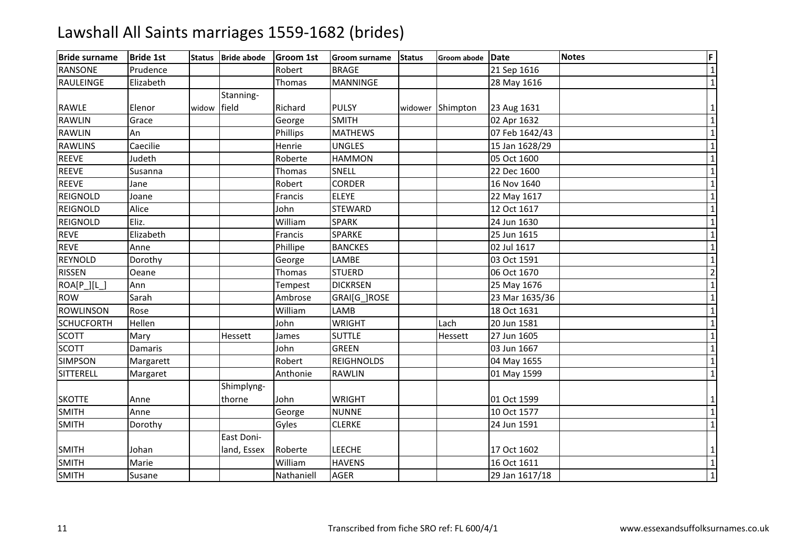| <b>Bride surname</b> | <b>Bride 1st</b> | <b>Status</b> | <b>Bride abode</b> | <b>Groom 1st</b> | <b>Groom surname</b> | <b>Status</b> | Groom abode | Date           | <b>Notes</b> | F              |
|----------------------|------------------|---------------|--------------------|------------------|----------------------|---------------|-------------|----------------|--------------|----------------|
| <b>RANSONE</b>       | Prudence         |               |                    | Robert           | <b>BRAGE</b>         |               |             | 21 Sep 1616    |              | $\mathbf{1}$   |
| RAULEINGE            | Elizabeth        |               |                    | Thomas           | <b>MANNINGE</b>      |               |             | 28 May 1616    |              | $\mathbf{1}$   |
|                      |                  |               | Stanning-          |                  |                      |               |             |                |              |                |
| <b>RAWLE</b>         | Elenor           | widow         | field              | Richard          | <b>PULSY</b>         | widower       | Shimpton    | 23 Aug 1631    |              | 1              |
| <b>RAWLIN</b>        | Grace            |               |                    | George           | <b>SMITH</b>         |               |             | 02 Apr 1632    |              | $\mathbf{1}$   |
| <b>RAWLIN</b>        | An               |               |                    | Phillips         | <b>MATHEWS</b>       |               |             | 07 Feb 1642/43 |              | $\mathbf{1}$   |
| <b>RAWLINS</b>       | Caecilie         |               |                    | Henrie           | <b>UNGLES</b>        |               |             | 15 Jan 1628/29 |              | $\mathbf{1}$   |
| <b>REEVE</b>         | Judeth           |               |                    | Roberte          | <b>HAMMON</b>        |               |             | 05 Oct 1600    |              | $\mathbf{1}$   |
| <b>REEVE</b>         | Susanna          |               |                    | Thomas           | SNELL                |               |             | 22 Dec 1600    |              | $\mathbf{1}$   |
| <b>REEVE</b>         | Jane             |               |                    | Robert           | <b>CORDER</b>        |               |             | 16 Nov 1640    |              | $\mathbf{1}$   |
| <b>REIGNOLD</b>      | Joane            |               |                    | Francis          | <b>ELEYE</b>         |               |             | 22 May 1617    |              | $\mathbf{1}$   |
| <b>REIGNOLD</b>      | Alice            |               |                    | John             | <b>STEWARD</b>       |               |             | 12 Oct 1617    |              | $\mathbf{1}$   |
| <b>REIGNOLD</b>      | Eliz.            |               |                    | William          | <b>SPARK</b>         |               |             | 24 Jun 1630    |              | $\mathbf{1}$   |
| <b>REVE</b>          | Elizabeth        |               |                    | Francis          | <b>SPARKE</b>        |               |             | 25 Jun 1615    |              | $\mathbf{1}$   |
| <b>REVE</b>          | Anne             |               |                    | Phillipe         | <b>BANCKES</b>       |               |             | 02 Jul 1617    |              | $\mathbf{1}$   |
| <b>REYNOLD</b>       | Dorothy          |               |                    | George           | LAMBE                |               |             | 03 Oct 1591    |              | $\mathbf{1}$   |
| <b>RISSEN</b>        | Oeane            |               |                    | Thomas           | <b>STUERD</b>        |               |             | 06 Oct 1670    |              | $\overline{2}$ |
| ROA[P_][L_]          | Ann              |               |                    | Tempest          | <b>DICKRSEN</b>      |               |             | 25 May 1676    |              | $\overline{1}$ |
| <b>ROW</b>           | Sarah            |               |                    | Ambrose          | GRAI[G_]ROSE         |               |             | 23 Mar 1635/36 |              | $\mathbf{1}$   |
| <b>ROWLINSON</b>     | Rose             |               |                    | William          | LAMB                 |               |             | 18 Oct 1631    |              | $\mathbf{1}$   |
| <b>SCHUCFORTH</b>    | Hellen           |               |                    | John             | <b>WRIGHT</b>        |               | Lach        | 20 Jun 1581    |              | $\mathbf{1}$   |
| <b>SCOTT</b>         | Mary             |               | Hessett            | James            | <b>SUTTLE</b>        |               | Hessett     | 27 Jun 1605    |              | $\mathbf{1}$   |
| <b>SCOTT</b>         | Damaris          |               |                    | John             | <b>GREEN</b>         |               |             | 03 Jun 1667    |              | $\mathbf{1}$   |
| <b>SIMPSON</b>       | Margarett        |               |                    | Robert           | <b>REIGHNOLDS</b>    |               |             | 04 May 1655    |              | $\mathbf{1}$   |
| SITTERELL            | Margaret         |               |                    | Anthonie         | <b>RAWLIN</b>        |               |             | 01 May 1599    |              | $\mathbf{1}$   |
|                      |                  |               | Shimplyng-         |                  |                      |               |             |                |              |                |
| <b>SKOTTE</b>        | Anne             |               | thorne             | John             | <b>WRIGHT</b>        |               |             | 01 Oct 1599    |              | 1              |
| <b>SMITH</b>         | Anne             |               |                    | George           | <b>NUNNE</b>         |               |             | 10 Oct 1577    |              | $\mathbf{1}$   |
| <b>SMITH</b>         | Dorothy          |               |                    | Gyles            | <b>CLERKE</b>        |               |             | 24 Jun 1591    |              | $\mathbf{1}$   |
|                      |                  |               | East Doni-         |                  |                      |               |             |                |              |                |
| <b>SMITH</b>         | Johan            |               | land, Essex        | Roberte          | <b>LEECHE</b>        |               |             | 17 Oct 1602    |              | 1              |
| <b>SMITH</b>         | Marie            |               |                    | William          | <b>HAVENS</b>        |               |             | 16 Oct 1611    |              | $\mathbf{1}$   |
| <b>SMITH</b>         | Susane           |               |                    | Nathaniell       | <b>AGER</b>          |               |             | 29 Jan 1617/18 |              | $\mathbf{1}$   |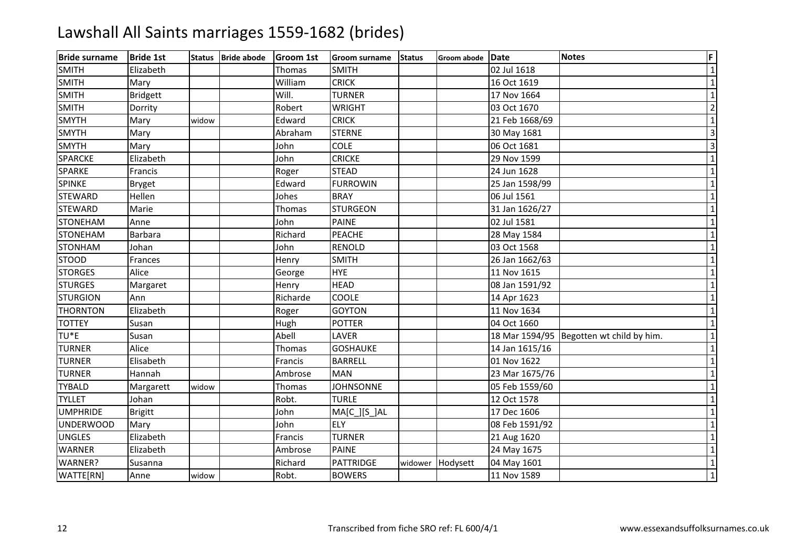| <b>Bride surname</b> | <b>Bride 1st</b> | <b>Status</b> | <b>Bride abode</b> | <b>Groom 1st</b> | <b>Groom surname</b> | <b>Status</b> | Groom abode | Date           | <b>Notes</b>                             | F              |
|----------------------|------------------|---------------|--------------------|------------------|----------------------|---------------|-------------|----------------|------------------------------------------|----------------|
| <b>SMITH</b>         | Elizabeth        |               |                    | Thomas           | <b>SMITH</b>         |               |             | 02 Jul 1618    |                                          | $\mathbf{1}$   |
| <b>SMITH</b>         | Mary             |               |                    | William          | <b>CRICK</b>         |               |             | 16 Oct 1619    |                                          | $\mathbf{1}$   |
| <b>SMITH</b>         | <b>Bridgett</b>  |               |                    | Will.            | <b>TURNER</b>        |               |             | 17 Nov 1664    |                                          | 1              |
| <b>SMITH</b>         | Dorrity          |               |                    | Robert           | <b>WRIGHT</b>        |               |             | 03 Oct 1670    |                                          | $\overline{2}$ |
| <b>SMYTH</b>         | Mary             | widow         |                    | Edward           | <b>CRICK</b>         |               |             | 21 Feb 1668/69 |                                          | $\mathbf{1}$   |
| <b>SMYTH</b>         | Mary             |               |                    | Abraham          | <b>STERNE</b>        |               |             | 30 May 1681    |                                          | $\overline{3}$ |
| <b>SMYTH</b>         | Mary             |               |                    | John             | <b>COLE</b>          |               |             | 06 Oct 1681    |                                          | $\overline{3}$ |
| <b>SPARCKE</b>       | Elizabeth        |               |                    | John             | <b>CRICKE</b>        |               |             | 29 Nov 1599    |                                          | $\mathbf{1}$   |
| SPARKE               | Francis          |               |                    | Roger            | <b>STEAD</b>         |               |             | 24 Jun 1628    |                                          | $\mathbf{1}$   |
| <b>SPINKE</b>        | <b>Bryget</b>    |               |                    | Edward           | <b>FURROWIN</b>      |               |             | 25 Jan 1598/99 |                                          | $\mathbf{1}$   |
| <b>STEWARD</b>       | Hellen           |               |                    | Johes            | <b>BRAY</b>          |               |             | 06 Jul 1561    |                                          | $\mathbf{1}$   |
| <b>STEWARD</b>       | Marie            |               |                    | Thomas           | <b>STURGEON</b>      |               |             | 31 Jan 1626/27 |                                          | $\mathbf{1}$   |
| <b>STONEHAM</b>      | Anne             |               |                    | John             | <b>PAINE</b>         |               |             | 02 Jul 1581    |                                          | $\mathbf{1}$   |
| <b>STONEHAM</b>      | Barbara          |               |                    | Richard          | <b>PEACHE</b>        |               |             | 28 May 1584    |                                          | $\mathbf{1}$   |
| <b>STONHAM</b>       | Johan            |               |                    | John             | RENOLD               |               |             | 03 Oct 1568    |                                          | $\mathbf{1}$   |
| <b>STOOD</b>         | Frances          |               |                    | Henry            | <b>SMITH</b>         |               |             | 26 Jan 1662/63 |                                          | $\mathbf{1}$   |
| <b>STORGES</b>       | Alice            |               |                    | George           | <b>HYE</b>           |               |             | 11 Nov 1615    |                                          | $\mathbf{1}$   |
| <b>STURGES</b>       | Margaret         |               |                    | Henry            | <b>HEAD</b>          |               |             | 08 Jan 1591/92 |                                          | $\overline{1}$ |
| <b>STURGION</b>      | Ann              |               |                    | Richarde         | <b>COOLE</b>         |               |             | 14 Apr 1623    |                                          | $\mathbf{1}$   |
| <b>THORNTON</b>      | Elizabeth        |               |                    | Roger            | <b>GOYTON</b>        |               |             | 11 Nov 1634    |                                          | $\mathbf 1$    |
| <b>TOTTEY</b>        | Susan            |               |                    | Hugh             | <b>POTTER</b>        |               |             | 04 Oct 1660    |                                          | $\mathbf{1}$   |
| TU <sup>*</sup> E    | Susan            |               |                    | Abell            | LAVER                |               |             |                | 18 Mar 1594/95 Begotten wt child by him. | $\mathbf{1}$   |
| <b>TURNER</b>        | Alice            |               |                    | Thomas           | <b>GOSHAUKE</b>      |               |             | 14 Jan 1615/16 |                                          | $\mathbf{1}$   |
| <b>TURNER</b>        | Elisabeth        |               |                    | Francis          | <b>BARRELL</b>       |               |             | 01 Nov 1622    |                                          | $\mathbf{1}$   |
| <b>TURNER</b>        | Hannah           |               |                    | Ambrose          | <b>MAN</b>           |               |             | 23 Mar 1675/76 |                                          | $\mathbf{1}$   |
| <b>TYBALD</b>        | Margarett        | widow         |                    | Thomas           | <b>JOHNSONNE</b>     |               |             | 05 Feb 1559/60 |                                          | $\mathbf{1}$   |
| <b>TYLLET</b>        | Johan            |               |                    | Robt.            | <b>TURLE</b>         |               |             | 12 Oct 1578    |                                          | $\mathbf{1}$   |
| <b>UMPHRIDE</b>      | <b>Brigitt</b>   |               |                    | John             | $MA[C_j[S_jAL$       |               |             | 17 Dec 1606    |                                          | $\mathbf{1}$   |
| <b>UNDERWOOD</b>     | Mary             |               |                    | John             | <b>ELY</b>           |               |             | 08 Feb 1591/92 |                                          | $\mathbf{1}$   |
| <b>UNGLES</b>        | Elizabeth        |               |                    | Francis          | <b>TURNER</b>        |               |             | 21 Aug 1620    |                                          | $\mathbf{1}$   |
| <b>WARNER</b>        | Elizabeth        |               |                    | Ambrose          | <b>PAINE</b>         |               |             | 24 May 1675    |                                          | $\mathbf{1}$   |
| WARNER?              | Susanna          |               |                    | Richard          | PATTRIDGE            | widower       | Hodysett    | 04 May 1601    |                                          | $\mathbf{1}$   |
| WATTE[RN]            | Anne             | widow         |                    | Robt.            | <b>BOWERS</b>        |               |             | 11 Nov 1589    |                                          | $\mathbf{1}$   |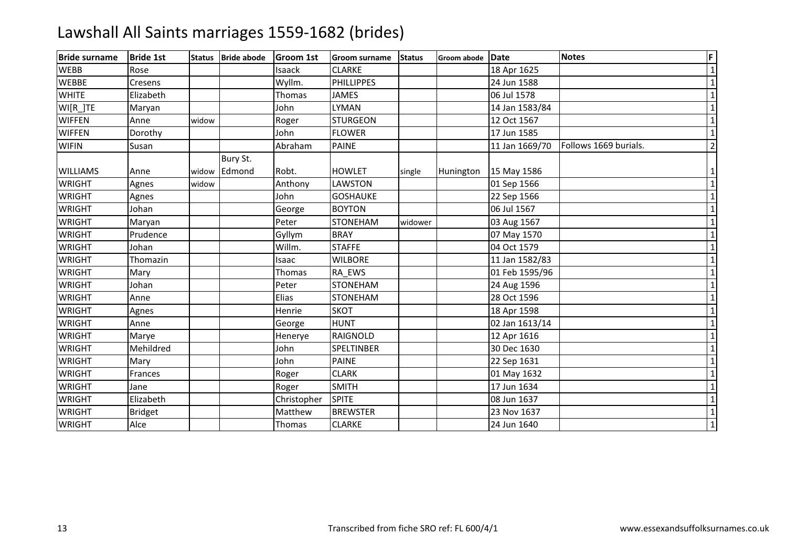| <b>Bride surname</b> | <b>Bride 1st</b> | <b>Status</b> | <b>Bride abode</b> | <b>Groom 1st</b> | <b>Groom surname</b> | <b>Status</b> | Groom abode | Date           | <b>Notes</b>          | F              |
|----------------------|------------------|---------------|--------------------|------------------|----------------------|---------------|-------------|----------------|-----------------------|----------------|
| <b>WEBB</b>          | Rose             |               |                    | Isaack           | <b>CLARKE</b>        |               |             | 18 Apr 1625    |                       | $\mathbf{1}$   |
| <b>WEBBE</b>         | Cresens          |               |                    | Wyllm.           | <b>PHILLIPPES</b>    |               |             | 24 Jun 1588    |                       | $\mathbf{1}$   |
| <b>WHITE</b>         | Elizabeth        |               |                    | Thomas           | <b>JAMES</b>         |               |             | 06 Jul 1578    |                       | $\mathbf{1}$   |
| WI[R_]TE             | Maryan           |               |                    | John             | <b>LYMAN</b>         |               |             | 14 Jan 1583/84 |                       | $\mathbf 1$    |
| <b>WIFFEN</b>        | Anne             | widow         |                    | Roger            | <b>STURGEON</b>      |               |             | 12 Oct 1567    |                       | $\mathbf{1}$   |
| <b>WIFFEN</b>        | Dorothy          |               |                    | John             | <b>FLOWER</b>        |               |             | 17 Jun 1585    |                       | $\mathbf{1}$   |
| <b>WIFIN</b>         | Susan            |               |                    | Abraham          | <b>PAINE</b>         |               |             | 11 Jan 1669/70 | Follows 1669 burials. | $\overline{2}$ |
|                      |                  |               | Bury St.           |                  |                      |               |             |                |                       |                |
| <b>WILLIAMS</b>      | Anne             | widow         | Edmond             | Robt.            | <b>HOWLET</b>        | single        | Hunington   | 15 May 1586    |                       | $\mathbf{1}$   |
| <b>WRIGHT</b>        | Agnes            | widow         |                    | Anthony          | LAWSTON              |               |             | 01 Sep 1566    |                       | $\mathbf 1$    |
| <b>WRIGHT</b>        | Agnes            |               |                    | John             | <b>GOSHAUKE</b>      |               |             | 22 Sep 1566    |                       | $\mathbf 1$    |
| <b>WRIGHT</b>        | Johan            |               |                    | George           | <b>BOYTON</b>        |               |             | 06 Jul 1567    |                       | $\mathbf{1}$   |
| <b>WRIGHT</b>        | Maryan           |               |                    | Peter            | <b>STONEHAM</b>      | widower       |             | 03 Aug 1567    |                       | $\mathbf{1}$   |
| <b>WRIGHT</b>        | Prudence         |               |                    | Gyllym           | <b>BRAY</b>          |               |             | 07 May 1570    |                       | $\mathbf 1$    |
| <b>WRIGHT</b>        | Johan            |               |                    | Willm.           | <b>STAFFE</b>        |               |             | 04 Oct 1579    |                       | $\mathbf{1}$   |
| <b>WRIGHT</b>        | Thomazin         |               |                    | Isaac            | <b>WILBORE</b>       |               |             | 11 Jan 1582/83 |                       | $\mathbf{1}$   |
| <b>WRIGHT</b>        | Mary             |               |                    | Thomas           | RA EWS               |               |             | 01 Feb 1595/96 |                       | $\mathbf 1$    |
| <b>WRIGHT</b>        | Johan            |               |                    | Peter            | <b>STONEHAM</b>      |               |             | 24 Aug 1596    |                       | $\mathbf{1}$   |
| <b>WRIGHT</b>        | Anne             |               |                    | Elias            | <b>STONEHAM</b>      |               |             | 28 Oct 1596    |                       | $\mathbf 1$    |
| <b>WRIGHT</b>        | Agnes            |               |                    | Henrie           | <b>SKOT</b>          |               |             | 18 Apr 1598    |                       | $\mathbf{1}$   |
| <b>WRIGHT</b>        | Anne             |               |                    | George           | <b>HUNT</b>          |               |             | 02 Jan 1613/14 |                       | $\mathbf 1$    |
| <b>WRIGHT</b>        | Marye            |               |                    | Henerye          | <b>RAIGNOLD</b>      |               |             | 12 Apr 1616    |                       | $\mathbf 1$    |
| <b>WRIGHT</b>        | Mehildred        |               |                    | John             | SPELTINBER           |               |             | 30 Dec 1630    |                       | $\mathbf{1}$   |
| <b>WRIGHT</b>        | Mary             |               |                    | John             | <b>PAINE</b>         |               |             | 22 Sep 1631    |                       | $\mathbf 1$    |
| <b>WRIGHT</b>        | Frances          |               |                    | Roger            | <b>CLARK</b>         |               |             | 01 May 1632    |                       | $\mathbf{1}$   |
| <b>WRIGHT</b>        | Jane             |               |                    | Roger            | <b>SMITH</b>         |               |             | 17 Jun 1634    |                       | $\mathbf 1$    |
| <b>WRIGHT</b>        | Elizabeth        |               |                    | Christopher      | <b>SPITE</b>         |               |             | 08 Jun 1637    |                       | $\mathbf 1$    |
| <b>WRIGHT</b>        | Bridget          |               |                    | Matthew          | <b>BREWSTER</b>      |               |             | 23 Nov 1637    |                       | $\overline{1}$ |
| <b>WRIGHT</b>        | Alce             |               |                    | Thomas           | <b>CLARKE</b>        |               |             | 24 Jun 1640    |                       | $\mathbf{1}$   |